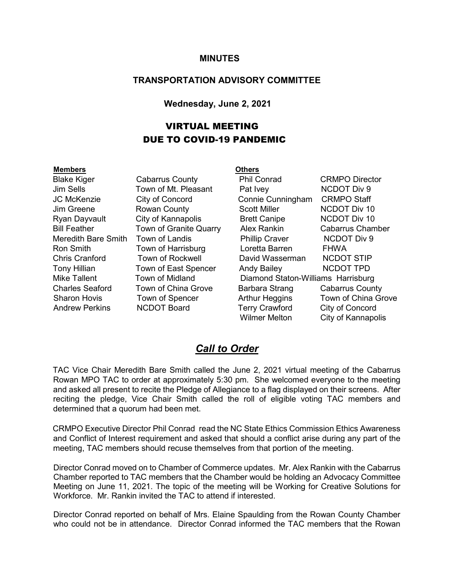#### **MINUTES**

#### **TRANSPORTATION ADVISORY COMMITTEE**

#### **Wednesday, June 2, 2021**

#### VIRTUAL MEETING DUE TO COVID-19 PANDEMIC

#### **Members Others**

Blake Kiger Cabarrus County Phil Conrad CRMPO Director Jim Sells Town of Mt. Pleasant Pat Ivey NCDOT Div 9 JC McKenzie City of Concord Connie Cunningham CRMPO Staff Jim Greene **Rowan County** Scott Miller **NCDOT** Div 10 Ryan Dayvault City of Kannapolis Brett Canipe NCDOT Div 10 Bill Feather Town of Granite Quarry Alex Rankin Cabarrus Chamber Meredith Bare Smith Town of Landis **Phillip Craver** NCDOT Div 9 Ron Smith Town of Harrisburg Loretta Barren FHWA Chris Cranford Town of Rockwell David Wasserman NCDOT STIP Tony Hillian Town of East Spencer Andy Bailey NCDOT TPD Mike Tallent Town of Midland Diamond Staton-Williams Harrisburg Charles Seaford Town of China Grove Barbara Strang Cabarrus County Sharon Hovis Town of Spencer Arthur Heggins Town of China Grove Andrew Perkins MCDOT Board Terry Crawford City of Concord Wilmer Melton City of Kannapolis

#### *Call to Order*

TAC Vice Chair Meredith Bare Smith called the June 2, 2021 virtual meeting of the Cabarrus Rowan MPO TAC to order at approximately 5:30 pm. She welcomed everyone to the meeting and asked all present to recite the Pledge of Allegiance to a flag displayed on their screens. After reciting the pledge, Vice Chair Smith called the roll of eligible voting TAC members and determined that a quorum had been met.

CRMPO Executive Director Phil Conrad read the NC State Ethics Commission Ethics Awareness and Conflict of Interest requirement and asked that should a conflict arise during any part of the meeting, TAC members should recuse themselves from that portion of the meeting.

Director Conrad moved on to Chamber of Commerce updates. Mr. Alex Rankin with the Cabarrus Chamber reported to TAC members that the Chamber would be holding an Advocacy Committee Meeting on June 11, 2021. The topic of the meeting will be Working for Creative Solutions for Workforce. Mr. Rankin invited the TAC to attend if interested.

Director Conrad reported on behalf of Mrs. Elaine Spaulding from the Rowan County Chamber who could not be in attendance. Director Conrad informed the TAC members that the Rowan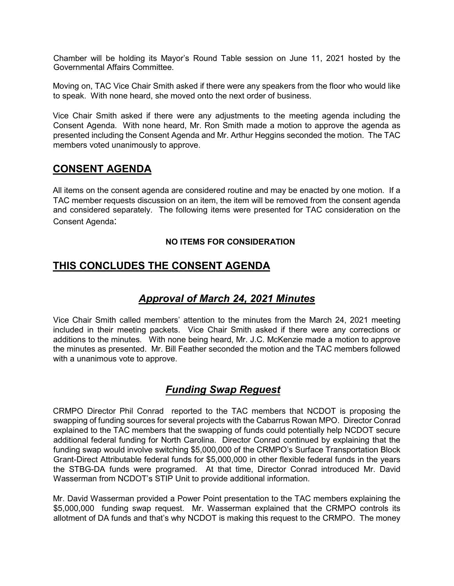Chamber will be holding its Mayor's Round Table session on June 11, 2021 hosted by the Governmental Affairs Committee.

Moving on, TAC Vice Chair Smith asked if there were any speakers from the floor who would like to speak. With none heard, she moved onto the next order of business.

Vice Chair Smith asked if there were any adjustments to the meeting agenda including the Consent Agenda. With none heard, Mr. Ron Smith made a motion to approve the agenda as presented including the Consent Agenda and Mr. Arthur Heggins seconded the motion. The TAC members voted unanimously to approve.

#### **CONSENT AGENDA**

All items on the consent agenda are considered routine and may be enacted by one motion. If a TAC member requests discussion on an item, the item will be removed from the consent agenda and considered separately. The following items were presented for TAC consideration on the Consent Agenda:

#### **NO ITEMS FOR CONSIDERATION**

## **THIS CONCLUDES THE CONSENT AGENDA**

### *Approval of March 24, 2021 Minutes*

Vice Chair Smith called members' attention to the minutes from the March 24, 2021 meeting included in their meeting packets. Vice Chair Smith asked if there were any corrections or additions to the minutes. With none being heard, Mr. J.C. McKenzie made a motion to approve the minutes as presented. Mr. Bill Feather seconded the motion and the TAC members followed with a unanimous vote to approve.

### *Funding Swap Reguest*

CRMPO Director Phil Conrad reported to the TAC members that NCDOT is proposing the swapping of funding sources for several projects with the Cabarrus Rowan MPO. Director Conrad explained to the TAC members that the swapping of funds could potentially help NCDOT secure additional federal funding for North Carolina. Director Conrad continued by explaining that the funding swap would involve switching \$5,000,000 of the CRMPO's Surface Transportation Block Grant-Direct Attributable federal funds for \$5,000,000 in other flexible federal funds in the years the STBG-DA funds were programed. At that time, Director Conrad introduced Mr. David Wasserman from NCDOT's STIP Unit to provide additional information.

Mr. David Wasserman provided a Power Point presentation to the TAC members explaining the \$5,000,000 funding swap request. Mr. Wasserman explained that the CRMPO controls its allotment of DA funds and that's why NCDOT is making this request to the CRMPO. The money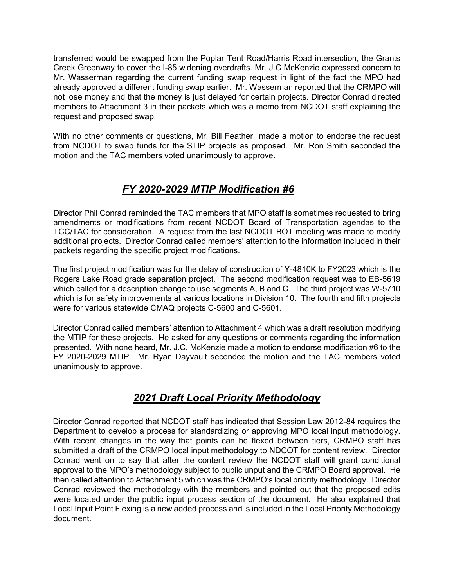transferred would be swapped from the Poplar Tent Road/Harris Road intersection, the Grants Creek Greenway to cover the I-85 widening overdrafts. Mr. J.C McKenzie expressed concern to Mr. Wasserman regarding the current funding swap request in light of the fact the MPO had already approved a different funding swap earlier. Mr. Wasserman reported that the CRMPO will not lose money and that the money is just delayed for certain projects. Director Conrad directed members to Attachment 3 in their packets which was a memo from NCDOT staff explaining the request and proposed swap.

With no other comments or questions, Mr. Bill Feather made a motion to endorse the request from NCDOT to swap funds for the STIP projects as proposed. Mr. Ron Smith seconded the motion and the TAC members voted unanimously to approve.

### *FY 2020-2029 MTIP Modification #6*

Director Phil Conrad reminded the TAC members that MPO staff is sometimes requested to bring amendments or modifications from recent NCDOT Board of Transportation agendas to the TCC/TAC for consideration. A request from the last NCDOT BOT meeting was made to modify additional projects. Director Conrad called members' attention to the information included in their packets regarding the specific project modifications.

The first project modification was for the delay of construction of Y-4810K to FY2023 which is the Rogers Lake Road grade separation project. The second modification request was to EB-5619 which called for a description change to use segments A, B and C. The third project was W-5710 which is for safety improvements at various locations in Division 10. The fourth and fifth projects were for various statewide CMAQ projects C-5600 and C-5601.

Director Conrad called members' attention to Attachment 4 which was a draft resolution modifying the MTIP for these projects. He asked for any questions or comments regarding the information presented. With none heard, Mr. J.C. McKenzie made a motion to endorse modification #6 to the FY 2020-2029 MTIP. Mr. Ryan Dayvault seconded the motion and the TAC members voted unanimously to approve.

# *2021 Draft Local Priority Methodology*

Director Conrad reported that NCDOT staff has indicated that Session Law 2012-84 requires the Department to develop a process for standardizing or approving MPO local input methodology. With recent changes in the way that points can be flexed between tiers, CRMPO staff has submitted a draft of the CRMPO local input methodology to NDCOT for content review. Director Conrad went on to say that after the content review the NCDOT staff will grant conditional approval to the MPO's methodology subject to public unput and the CRMPO Board approval. He then called attention to Attachment 5 which was the CRMPO's local priority methodology. Director Conrad reviewed the methodology with the members and pointed out that the proposed edits were located under the public input process section of the document. He also explained that Local Input Point Flexing is a new added process and is included in the Local Priority Methodology document.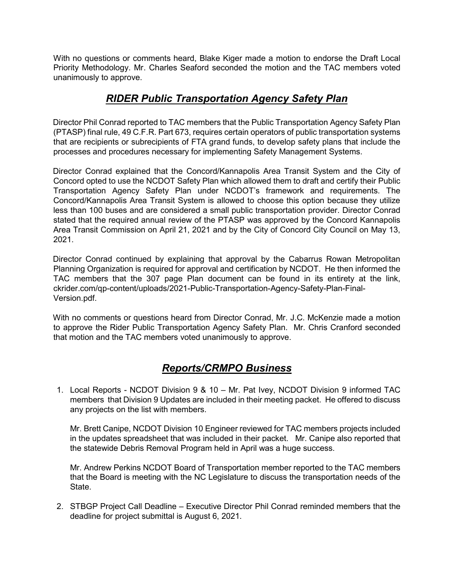With no questions or comments heard, Blake Kiger made a motion to endorse the Draft Local Priority Methodology. Mr. Charles Seaford seconded the motion and the TAC members voted unanimously to approve.

### *RIDER Public Transportation Agency Safety Plan*

Director Phil Conrad reported to TAC members that the Public Transportation Agency Safety Plan (PTASP) final rule, 49 C.F.R. Part 673, requires certain operators of public transportation systems that are recipients or subrecipients of FTA grand funds, to develop safety plans that include the processes and procedures necessary for implementing Safety Management Systems.

Director Conrad explained that the Concord/Kannapolis Area Transit System and the City of Concord opted to use the NCDOT Safety Plan which allowed them to draft and certify their Public Transportation Agency Safety Plan under NCDOT's framework and requirements. The Concord/Kannapolis Area Transit System is allowed to choose this option because they utilize less than 100 buses and are considered a small public transportation provider. Director Conrad stated that the required annual review of the PTASP was approved by the Concord Kannapolis Area Transit Commission on April 21, 2021 and by the City of Concord City Council on May 13, 2021.

Director Conrad continued by explaining that approval by the Cabarrus Rowan Metropolitan Planning Organization is required for approval and certification by NCDOT. He then informed the TAC members that the 307 page Plan document can be found in its entirety at the link, ckrider.com/qp-content/uploads/2021-Public-Transportation-Agency-Safety-Plan-Final-Version.pdf.

With no comments or questions heard from Director Conrad, Mr. J.C. McKenzie made a motion to approve the Rider Public Transportation Agency Safety Plan. Mr. Chris Cranford seconded that motion and the TAC members voted unanimously to approve.

# *Reports/CRMPO Business*

1. Local Reports - NCDOT Division 9 & 10 – Mr. Pat Ivey, NCDOT Division 9 informed TAC members that Division 9 Updates are included in their meeting packet. He offered to discuss any projects on the list with members.

Mr. Brett Canipe, NCDOT Division 10 Engineer reviewed for TAC members projects included in the updates spreadsheet that was included in their packet. Mr. Canipe also reported that the statewide Debris Removal Program held in April was a huge success.

Mr. Andrew Perkins NCDOT Board of Transportation member reported to the TAC members that the Board is meeting with the NC Legislature to discuss the transportation needs of the State.

2. STBGP Project Call Deadline – Executive Director Phil Conrad reminded members that the deadline for project submittal is August 6, 2021.